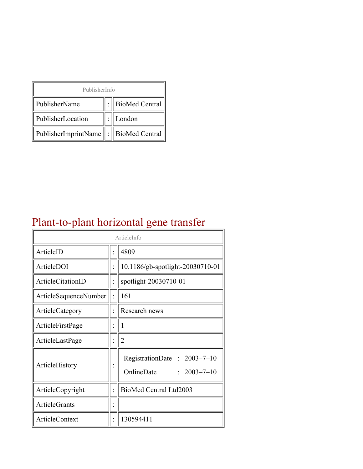| PublisherInfo                                   |  |                    |  |  |
|-------------------------------------------------|--|--------------------|--|--|
| PublisherName                                   |  | :   BioMed Central |  |  |
| PublisherLocation                               |  | London             |  |  |
| PublisherImprintName $\ \cdot\ $ BioMed Central |  |                    |  |  |

## Plant-to-plant horizontal gene transfer

| ArticleInfo           |  |                                                                |
|-----------------------|--|----------------------------------------------------------------|
| ArticleID             |  | 4809                                                           |
| ArticleDOI            |  | 10.1186/gb-spotlight-20030710-01                               |
| ArticleCitationID     |  | spotlight-20030710-01                                          |
| ArticleSequenceNumber |  | 161                                                            |
| ArticleCategory       |  | Research news                                                  |
| ArticleFirstPage      |  |                                                                |
| ArticleLastPage       |  | $\overline{2}$                                                 |
| ArticleHistory        |  | RegistrationDate: 2003-7-10<br>OnlineDate<br>$: 2003 - 7 - 10$ |
| ArticleCopyright      |  | BioMed Central Ltd2003                                         |
| <b>ArticleGrants</b>  |  |                                                                |
| ArticleContext        |  | 130594411                                                      |